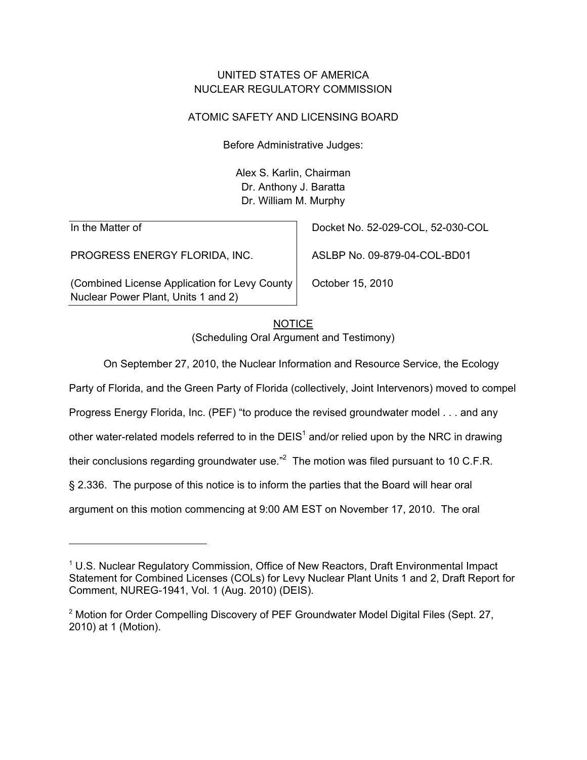## UNITED STATES OF AMERICA NUCLEAR REGULATORY COMMISSION

## ATOMIC SAFETY AND LICENSING BOARD

Before Administrative Judges:

Alex S. Karlin, Chairman Dr. Anthony J. Baratta Dr. William M. Murphy

In the Matter of

-

PROGRESS ENERGY FLORIDA, INC.

(Combined License Application for Levy County Nuclear Power Plant, Units 1 and 2)

Docket No. 52-029-COL, 52-030-COL

ASLBP No. 09-879-04-COL-BD01

October 15, 2010

# **NOTICE** (Scheduling Oral Argument and Testimony)

On September 27, 2010, the Nuclear Information and Resource Service, the Ecology

Party of Florida, and the Green Party of Florida (collectively, Joint Intervenors) moved to compel

Progress Energy Florida, Inc. (PEF) "to produce the revised groundwater model . . . and any

other water-related models referred to in the DEIS<sup>1</sup> and/or relied upon by the NRC in drawing

their conclusions regarding groundwater use."<sup>2</sup> The motion was filed pursuant to 10 C.F.R.

§ 2.336. The purpose of this notice is to inform the parties that the Board will hear oral

argument on this motion commencing at 9:00 AM EST on November 17, 2010. The oral

<sup>&</sup>lt;sup>1</sup> U.S. Nuclear Regulatory Commission, Office of New Reactors, Draft Environmental Impact Statement for Combined Licenses (COLs) for Levy Nuclear Plant Units 1 and 2, Draft Report for Comment, NUREG-1941, Vol. 1 (Aug. 2010) (DEIS).

<sup>&</sup>lt;sup>2</sup> Motion for Order Compelling Discovery of PEF Groundwater Model Digital Files (Sept. 27, 2010) at 1 (Motion).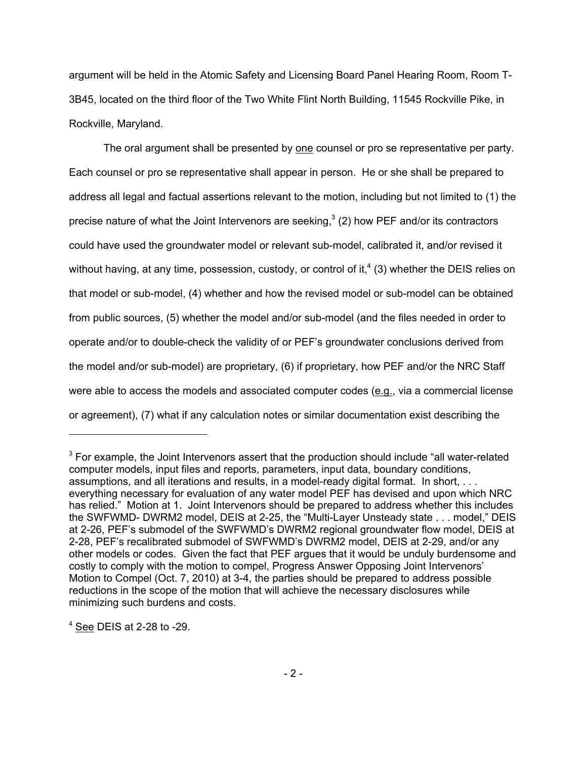argument will be held in the Atomic Safety and Licensing Board Panel Hearing Room, Room T-3B45, located on the third floor of the Two White Flint North Building, 11545 Rockville Pike, in Rockville, Maryland.

The oral argument shall be presented by one counsel or pro se representative per party. Each counsel or pro se representative shall appear in person. He or she shall be prepared to address all legal and factual assertions relevant to the motion, including but not limited to (1) the precise nature of what the Joint Intervenors are seeking,<sup>3</sup> (2) how PEF and/or its contractors could have used the groundwater model or relevant sub-model, calibrated it, and/or revised it without having, at any time, possession, custody, or control of it,<sup>4</sup> (3) whether the DEIS relies on that model or sub-model, (4) whether and how the revised model or sub-model can be obtained from public sources, (5) whether the model and/or sub-model (and the files needed in order to operate and/or to double-check the validity of or PEF's groundwater conclusions derived from the model and/or sub-model) are proprietary, (6) if proprietary, how PEF and/or the NRC Staff were able to access the models and associated computer codes (e.g., via a commercial license or agreement), (7) what if any calculation notes or similar documentation exist describing the

<sup>4</sup> See DEIS at 2-28 to -29.

-

 $3$  For example, the Joint Intervenors assert that the production should include "all water-related computer models, input files and reports, parameters, input data, boundary conditions, assumptions, and all iterations and results, in a model-ready digital format. In short, . . . everything necessary for evaluation of any water model PEF has devised and upon which NRC has relied." Motion at 1. Joint Intervenors should be prepared to address whether this includes the SWFWMD- DWRM2 model, DEIS at 2-25, the "Multi-Layer Unsteady state . . . model," DEIS at 2-26, PEF's submodel of the SWFWMD's DWRM2 regional groundwater flow model, DEIS at 2-28, PEF's recalibrated submodel of SWFWMD's DWRM2 model, DEIS at 2-29, and/or any other models or codes. Given the fact that PEF argues that it would be unduly burdensome and costly to comply with the motion to compel, Progress Answer Opposing Joint Intervenors' Motion to Compel (Oct. 7, 2010) at 3-4, the parties should be prepared to address possible reductions in the scope of the motion that will achieve the necessary disclosures while minimizing such burdens and costs.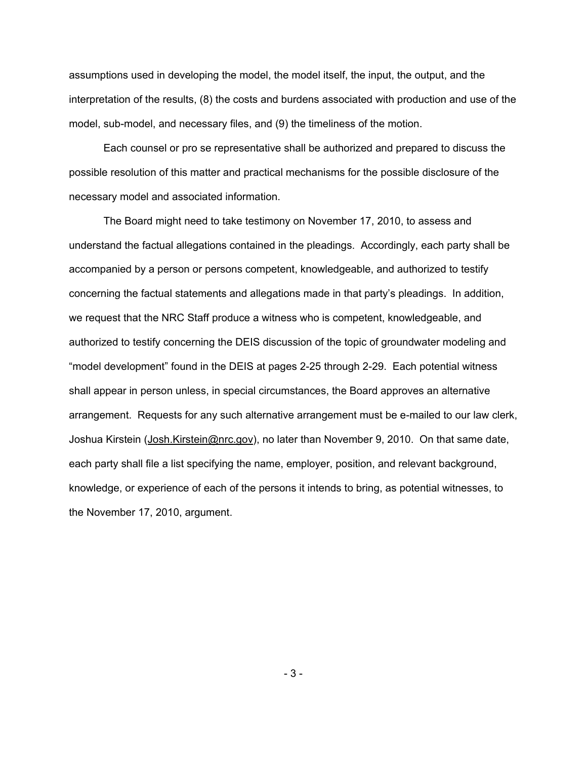assumptions used in developing the model, the model itself, the input, the output, and the interpretation of the results, (8) the costs and burdens associated with production and use of the model, sub-model, and necessary files, and (9) the timeliness of the motion.

Each counsel or pro se representative shall be authorized and prepared to discuss the possible resolution of this matter and practical mechanisms for the possible disclosure of the necessary model and associated information.

The Board might need to take testimony on November 17, 2010, to assess and understand the factual allegations contained in the pleadings. Accordingly, each party shall be accompanied by a person or persons competent, knowledgeable, and authorized to testify concerning the factual statements and allegations made in that party's pleadings. In addition, we request that the NRC Staff produce a witness who is competent, knowledgeable, and authorized to testify concerning the DEIS discussion of the topic of groundwater modeling and "model development" found in the DEIS at pages 2-25 through 2-29. Each potential witness shall appear in person unless, in special circumstances, the Board approves an alternative arrangement. Requests for any such alternative arrangement must be e-mailed to our law clerk, Joshua Kirstein (Josh.Kirstein@nrc.gov), no later than November 9, 2010. On that same date, each party shall file a list specifying the name, employer, position, and relevant background, knowledge, or experience of each of the persons it intends to bring, as potential witnesses, to the November 17, 2010, argument.

- 3 -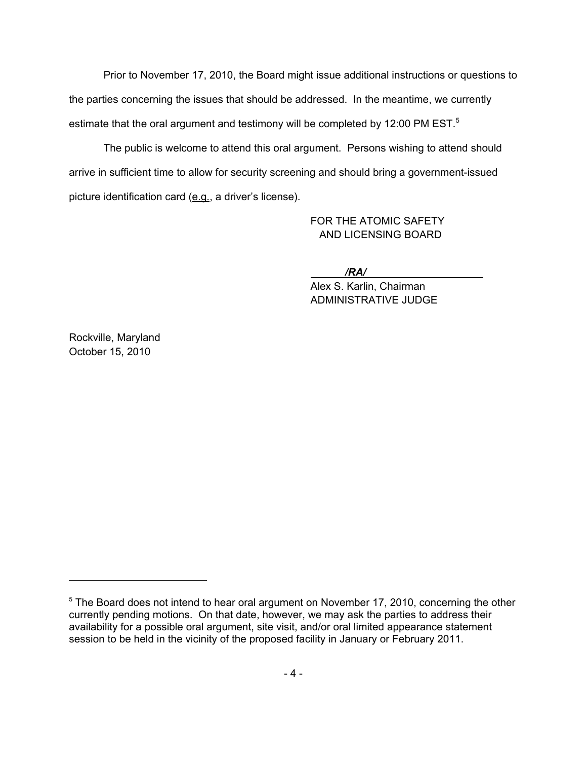Prior to November 17, 2010, the Board might issue additional instructions or questions to the parties concerning the issues that should be addressed. In the meantime, we currently estimate that the oral argument and testimony will be completed by 12:00 PM EST. $5$ 

The public is welcome to attend this oral argument. Persons wishing to attend should arrive in sufficient time to allow for security screening and should bring a government-issued picture identification card (e.g., a driver's license).

> FOR THE ATOMIC SAFETY AND LICENSING BOARD

*/RA/* 

Alex S. Karlin, Chairman ADMINISTRATIVE JUDGE

Rockville, Maryland October 15, 2010

 $5$  The Board does not intend to hear oral argument on November 17, 2010, concerning the other currently pending motions. On that date, however, we may ask the parties to address their availability for a possible oral argument, site visit, and/or oral limited appearance statement session to be held in the vicinity of the proposed facility in January or February 2011.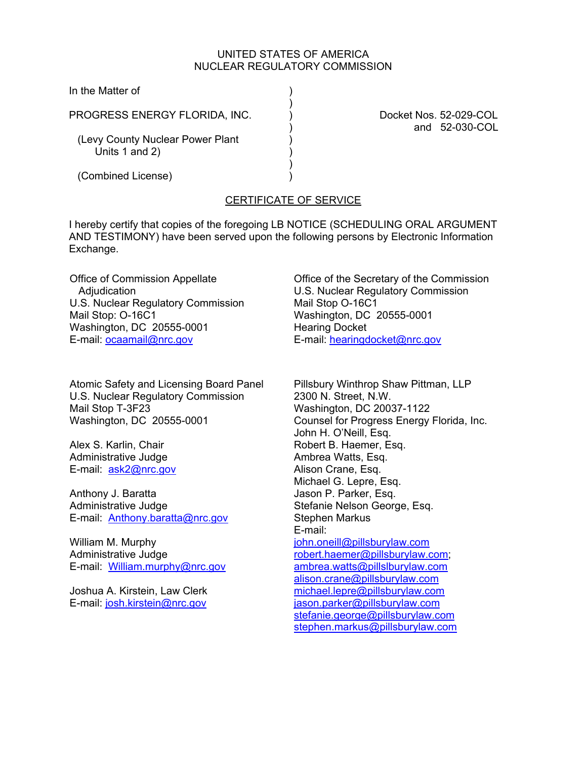#### UNITED STATES OF AMERICA NUCLEAR REGULATORY COMMISSION

In the Matter of

PROGRESS ENERGY FLORIDA, INC. (a) Docket Nos. 52-029-COL

 $)$ 

 $)$ 

(Levy County Nuclear Power Plant ) Units 1 and 2)

(Combined License) )

) and 52-030-COL

## CERTIFICATE OF SERVICE

I hereby certify that copies of the foregoing LB NOTICE (SCHEDULING ORAL ARGUMENT AND TESTIMONY) have been served upon the following persons by Electronic Information Exchange.

Office of Commission Appellate Adjudication U.S. Nuclear Regulatory Commission Mail Stop: O-16C1 Washington, DC 20555-0001 E-mail: ocaamail@nrc.gov

Atomic Safety and Licensing Board Panel U.S. Nuclear Regulatory Commission Mail Stop T-3F23 Washington, DC 20555-0001

Alex S. Karlin, Chair Administrative Judge E-mail: ask2@nrc.gov

Anthony J. Baratta Administrative Judge E-mail: Anthony.baratta@nrc.gov

William M. Murphy Administrative Judge E-mail: William.murphy@nrc.gov

Joshua A. Kirstein, Law Clerk E-mail: josh.kirstein@nrc.gov

Office of the Secretary of the Commission U.S. Nuclear Regulatory Commission Mail Stop O-16C1 Washington, DC 20555-0001 Hearing Docket E-mail: hearingdocket@nrc.gov

Pillsbury Winthrop Shaw Pittman, LLP 2300 N. Street, N.W. Washington, DC 20037-1122 Counsel for Progress Energy Florida, Inc. John H. O'Neill, Esq. Robert B. Haemer, Esq. Ambrea Watts, Esq. Alison Crane, Esq. Michael G. Lepre, Esq. Jason P. Parker, Esq. Stefanie Nelson George, Esq. Stephen Markus E-mail: john.oneill@pillsburylaw.com robert.haemer@pillsburylaw.com; ambrea.watts@pillslburylaw.com alison.crane@pillsburylaw.com michael.lepre@pillsburylaw.com jason.parker@pillsburylaw.com stefanie.george@pillsburylaw.com stephen.markus@pillsburylaw.com